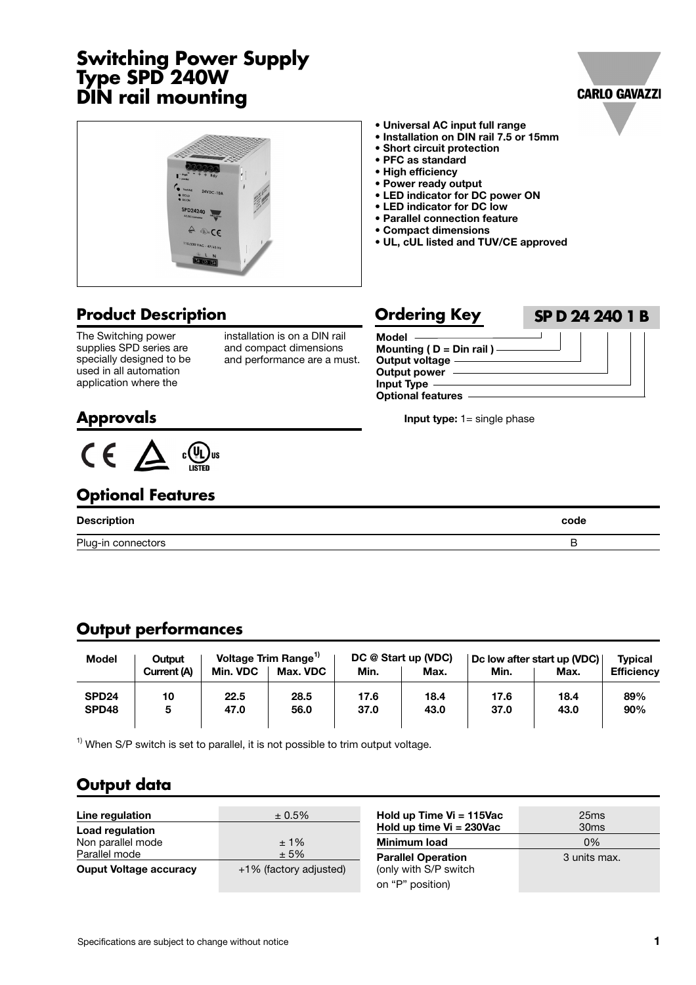# **Switching Power Supply Type SPD 240W DIN rail mounting**





## **Product Description**

The Switching power supplies SPD series are specially designed to be used in all automation application where the

installation is on a DIN rail and compact dimensions and performance are a must.

**• Universal AC input full range • Installation on DIN rail 7.5 or 15mm**

**• LED indicator for DC power ON • LED indicator for DC low • Parallel connection feature • Compact dimensions**

**• UL, cUL listed and TUV/CE approved**

**• Short circuit protection • PFC as standard • High efficiency • Power ready output**

## **Ordering Key SP D 24 240 1 B**

| Model                        |  |
|------------------------------|--|
| Mounting ( $D = Din$ rail) — |  |
| Output voltage —             |  |
| <b>Output power</b>          |  |
| <b>Input Type</b>            |  |
| <b>Optional features</b>     |  |

**Input type:** 1= single phase

# **Approvals**



## **Optional Features**

| <b>Description</b> | code |
|--------------------|------|
| Plug-in connectors |      |

## **Output performances**

| <b>Model</b>               | Output      |              | Voltage Trim Range <sup>1</sup> |              | DC @ Start up (VDC) |              | Dc low after start up (VDC) | <b>Typical</b>    |
|----------------------------|-------------|--------------|---------------------------------|--------------|---------------------|--------------|-----------------------------|-------------------|
|                            | Current (A) | Min. VDC     | Max. VDC                        | Min.         | Max.                | Min.         | Max.                        | <b>Efficiency</b> |
| SPD <sub>24</sub><br>SPD48 | 10<br>5     | 22.5<br>47.0 | 28.5<br>56.0                    | 17.6<br>37.0 | 18.4<br>43.0        | 17.6<br>37.0 | 18.4<br>43.0                | 89%<br>90%        |

 $1)$  When S/P switch is set to parallel, it is not possible to trim output voltage.

# **Output data**

| Line regulation                      | $± 0.5\%$              |
|--------------------------------------|------------------------|
| Load regulation<br>Non parallel mode | $±1\%$                 |
| Parallel mode                        | ± 5%                   |
| <b>Ouput Voltage accuracy</b>        | +1% (factory adjusted) |

| Hold up Time $Vi = 115$ Vac<br>Hold up time $Vi = 230Vac$ | 25ms<br>30 <sub>ms</sub> |
|-----------------------------------------------------------|--------------------------|
| Minimum load                                              | 0%                       |
| <b>Parallel Operation</b><br>(only with S/P switch        | 3 units max.             |
| on "P" position)                                          |                          |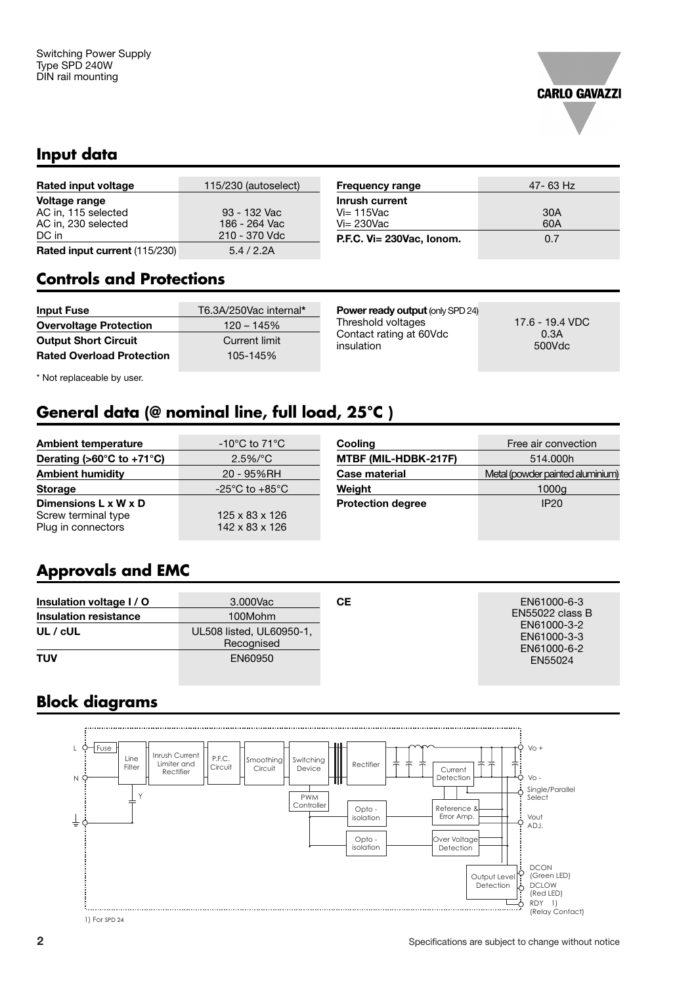

## **Input data**

| Rated input voltage                  | 115/230 (autoselect) | <b>Frequency range</b>    | $47 - 63$ |
|--------------------------------------|----------------------|---------------------------|-----------|
| Voltage range                        |                      | Inrush current            |           |
| AC in, 115 selected                  | 93 - 132 Vac         | $Vi = 115$ Vac            | 30A       |
| AC in, 230 selected                  | 186 - 264 Vac        | $Vi = 230$ Vac            | 60A       |
| DC in                                | 210 - 370 Vdc        | P.F.C. Vi= 230Vac, Ionom. | 0.7       |
| <b>Rated input current (115/230)</b> | 5.4/2.2A             |                           |           |

| <b>Controls and Protections</b> |
|---------------------------------|
|---------------------------------|

| <b>Input Fuse</b>                | T6.3A/250Vac internal* |
|----------------------------------|------------------------|
| <b>Overvoltage Protection</b>    | $120 - 145%$           |
| <b>Output Short Circuit</b>      | Current limit          |
| <b>Rated Overload Protection</b> | 105-145%               |

**Power ready output** (only SPD 24) Threshold voltages 17.6 - 19.4 VDC<br>Contact rating at 60Vdc 0.3A Contact rating at 60Vdc 0.3A<br>
insulation 500Vdc insulation

**Frequency range** 47- 63 Hz

\* Not replaceable by user.

# **General data (@ nominal line, full load, 25°C )**

| <b>Ambient temperature</b>                                        | -10 $^{\circ}$ C to 71 $^{\circ}$ C                      |
|-------------------------------------------------------------------|----------------------------------------------------------|
| Derating (>60 $^{\circ}$ C to +71 $^{\circ}$ C)                   | $2.5\%/°C$                                               |
| <b>Ambient humidity</b>                                           | 20 - 95%RH                                               |
| <b>Storage</b>                                                    | -25 $^{\circ}$ C to +85 $^{\circ}$ C                     |
| Dimensions L x W x D<br>Screw terminal type<br>Plug in connectors | $125 \times 83 \times 126$<br>$142 \times 83 \times 126$ |

| Cooling                  | Free air convection              |
|--------------------------|----------------------------------|
| MTBF (MIL-HDBK-217F)     | 514.000h                         |
| Case material            | Metal (powder painted aluminium) |
| Weight                   | 1000g                            |
| <b>Protection degree</b> | IP <sub>20</sub>                 |

## **Approvals and EMC**

| Insulation voltage I / O     | 3.000Vac                               | CЕ | EN61000-6-3                               |
|------------------------------|----------------------------------------|----|-------------------------------------------|
| <b>Insulation resistance</b> | 100Mohm                                |    | $EN55022$ class B                         |
| UL / cUL                     | UL508 listed, UL60950-1,<br>Recognised |    | EN61000-3-2<br>EN61000-3-3<br>EN61000-6-2 |
| TUV                          | EN60950                                |    | EN55024                                   |

# **Block diagrams**



1) For SPD 24